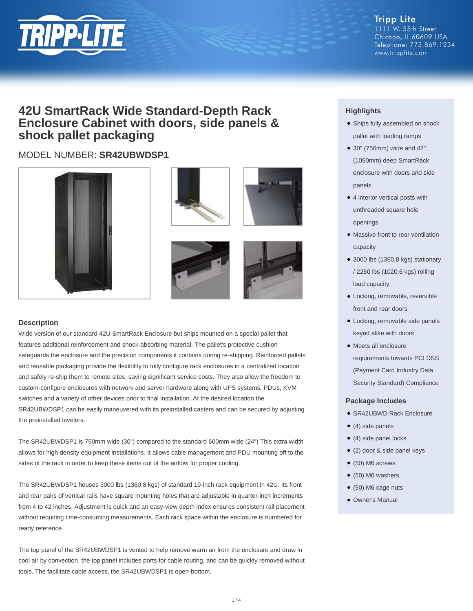

#### **Tripp Lite** 1111 W. 35th Street Chicago, IL 60609 USA Telephone: 773.869.1234 www.tripplite.com

## **42U SmartRack Wide Standard-Depth Rack Enclosure Cabinet with doors, side panels & shock pallet packaging**

### MODEL NUMBER: **SR42UBWDSP1**











#### **Description**

Wide version of our standard 42U SmartRack Enclosure but ships mounted on a special pallet that features additional reinforcement and shock-absorbing material. The pallet's protective cushion safeguards the enclosure and the precision components it contains during re-shipping. Reinforced pallets and reusable packaging provide the flexibility to fully configure rack enclosures in a centralized location and safely re-ship them to remote sites, saving significant service costs. They also allow the freedom to custom-configure enclosures with network and server hardware along with UPS systems, PDUs, KVM switches and a variety of other devices prior to final installation. At the desired location the SR42UBWDSP1 can be easily maneuvered with its preinstalled casters and can be secured by adjusting the preinstalled levelers.

The SR42UBWDSP1 is 750mm wide (30") compared to the standard 600mm wide (24") This extra width allows for high density equipment installations. It allows cable management and PDU mounting off to the sides of the rack in order to keep these items out of the airflow for proper cooling.

The SR42UBWDSP1 houses 3000 lbs (1360.8 kgs) of standard 19-inch rack equipment in 42U. Its front and rear pairs of vertical rails have square mounting holes that are adjustable in quarter-inch increments from 4 to 42 inches. Adjustment is quick and an easy-view depth index ensures consistent rail placement without requiring time-consuming measurements. Each rack space within the enclosure is numbered for ready reference.

The top panel of the SR42UBWDSP1 is vented to help remove warm air from the enclosure and draw in cool air by convection. the top panel includes ports for cable routing, and can be quickly removed without tools. The facilitate cable access, the SR42UBWDSP1 is open-bottom.

### **Highlights**

- Ships fully assembled on shock pallet with loading ramps
- 30" (750mm) wide and 42" (1050mm) deep SmartRack enclosure with doors and side panels
- 4 interior vertical posts with unthreaded square hole openings
- Massive front to rear ventilation capacity
- 3000 lbs (1360.8 kgs) stationary / 2250 lbs (1020.6 kgs) rolling load capacity
- Locking, removable, reversible front and rear doors
- Locking, removable side panels keyed alike with doors
- Meets all enclosure requirements towards PCI DSS (Payment Card Industry Data Security Standard) Compliance

#### **Package Includes**

- SR42UBWD Rack Enclosure
- $\bullet$  (4) side panels
- (4) side panel locks
- (2) door & side panel keys
- $\bullet$  (50) M6 screws
- $\bullet$  (50) M6 washers
- (50) M6 cage nuts
- Owner's Manual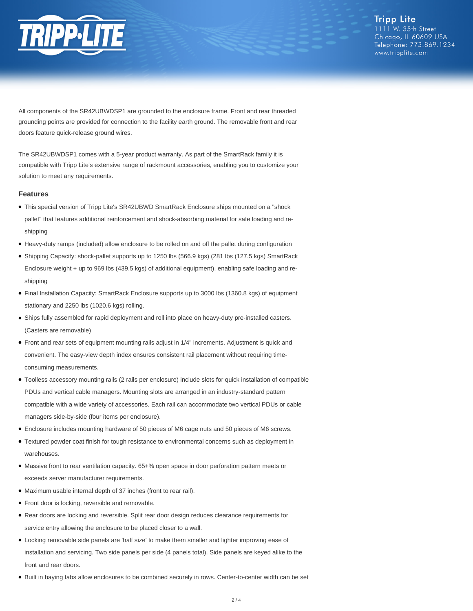

**Tripp Lite** 1111 W. 35th Street Chicago, IL 60609 USA Telephone: 773.869.1234 www.tripplite.com

All components of the SR42UBWDSP1 are grounded to the enclosure frame. Front and rear threaded grounding points are provided for connection to the facility earth ground. The removable front and rear doors feature quick-release ground wires.

The SR42UBWDSP1 comes with a 5-year product warranty. As part of the SmartRack family it is compatible with Tripp Lite's extensive range of rackmount accessories, enabling you to customize your solution to meet any requirements.

#### **Features**

- This special version of Tripp Lite's SR42UBWD SmartRack Enclosure ships mounted on a "shock pallet" that features additional reinforcement and shock-absorbing material for safe loading and reshipping
- Heavy-duty ramps (included) allow enclosure to be rolled on and off the pallet during configuration
- Shipping Capacity: shock-pallet supports up to 1250 lbs (566.9 kgs) (281 lbs (127.5 kgs) SmartRack Enclosure weight + up to 969 lbs (439.5 kgs) of additional equipment), enabling safe loading and reshipping
- Final Installation Capacity: SmartRack Enclosure supports up to 3000 lbs (1360.8 kgs) of equipment stationary and 2250 lbs (1020.6 kgs) rolling.
- Ships fully assembled for rapid deployment and roll into place on heavy-duty pre-installed casters. (Casters are removable)
- Front and rear sets of equipment mounting rails adjust in 1/4" increments. Adjustment is quick and convenient. The easy-view depth index ensures consistent rail placement without requiring timeconsuming measurements.
- Toolless accessory mounting rails (2 rails per enclosure) include slots for quick installation of compatible PDUs and vertical cable managers. Mounting slots are arranged in an industry-standard pattern compatible with a wide variety of accessories. Each rail can accommodate two vertical PDUs or cable managers side-by-side (four items per enclosure).
- Enclosure includes mounting hardware of 50 pieces of M6 cage nuts and 50 pieces of M6 screws.
- Textured powder coat finish for tough resistance to environmental concerns such as deployment in warehouses.
- Massive front to rear ventilation capacity. 65+% open space in door perforation pattern meets or exceeds server manufacturer requirements.
- Maximum usable internal depth of 37 inches (front to rear rail).
- Front door is locking, reversible and removable.
- Rear doors are locking and reversible. Split rear door design reduces clearance requirements for service entry allowing the enclosure to be placed closer to a wall.
- Locking removable side panels are 'half size' to make them smaller and lighter improving ease of installation and servicing. Two side panels per side (4 panels total). Side panels are keyed alike to the front and rear doors.
- Built in baying tabs allow enclosures to be combined securely in rows. Center-to-center width can be set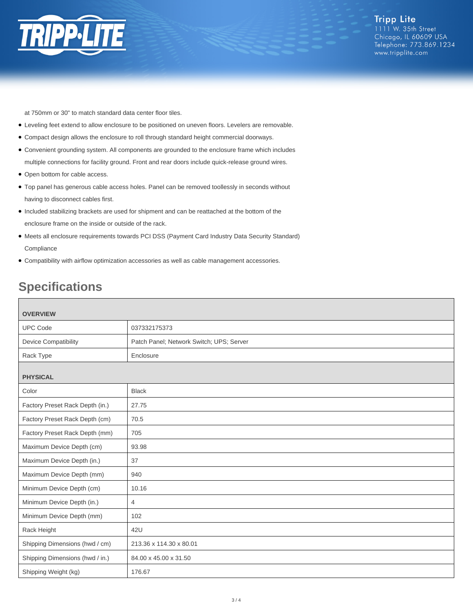

at 750mm or 30" to match standard data center floor tiles.

- Leveling feet extend to allow enclosure to be positioned on uneven floors. Levelers are removable.
- Compact design allows the enclosure to roll through standard height commercial doorways.
- Convenient grounding system. All components are grounded to the enclosure frame which includes multiple connections for facility ground. Front and rear doors include quick-release ground wires.
- Open bottom for cable access.
- Top panel has generous cable access holes. Panel can be removed toollessly in seconds without having to disconnect cables first.
- Included stabilizing brackets are used for shipment and can be reattached at the bottom of the enclosure frame on the inside or outside of the rack.
- Meets all enclosure requirements towards PCI DSS (Payment Card Industry Data Security Standard) **Compliance**
- Compatibility with airflow optimization accessories as well as cable management accessories.

# **Specifications**

| <b>OVERVIEW</b>                 |                                          |
|---------------------------------|------------------------------------------|
| <b>UPC Code</b>                 | 037332175373                             |
| <b>Device Compatibility</b>     | Patch Panel; Network Switch; UPS; Server |
| Rack Type                       | Enclosure                                |
| <b>PHYSICAL</b>                 |                                          |
| Color                           | <b>Black</b>                             |
| Factory Preset Rack Depth (in.) | 27.75                                    |
| Factory Preset Rack Depth (cm)  | 70.5                                     |
| Factory Preset Rack Depth (mm)  | 705                                      |
| Maximum Device Depth (cm)       | 93.98                                    |
| Maximum Device Depth (in.)      | 37                                       |
| Maximum Device Depth (mm)       | 940                                      |
| Minimum Device Depth (cm)       | 10.16                                    |
| Minimum Device Depth (in.)      | 4                                        |
| Minimum Device Depth (mm)       | 102                                      |
| Rack Height                     | 42U                                      |
| Shipping Dimensions (hwd / cm)  | 213.36 x 114.30 x 80.01                  |
| Shipping Dimensions (hwd / in.) | 84.00 x 45.00 x 31.50                    |
| Shipping Weight (kg)            | 176.67                                   |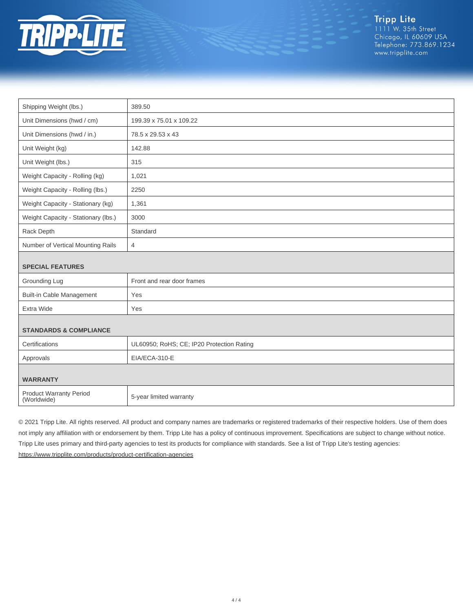

Tripp Lite<br>1111 W. 35th Street Chicago, IL 60609 USA Telephone: 773.869.1234 www.tripplite.com

| Shipping Weight (lbs.)                        | 389.50                                    |  |
|-----------------------------------------------|-------------------------------------------|--|
| Unit Dimensions (hwd / cm)                    | 199.39 x 75.01 x 109.22                   |  |
| Unit Dimensions (hwd / in.)                   | 78.5 x 29.53 x 43                         |  |
| Unit Weight (kg)                              | 142.88                                    |  |
| Unit Weight (lbs.)                            | 315                                       |  |
| Weight Capacity - Rolling (kg)                | 1,021                                     |  |
| Weight Capacity - Rolling (lbs.)              | 2250                                      |  |
| Weight Capacity - Stationary (kg)             | 1,361                                     |  |
| Weight Capacity - Stationary (lbs.)           | 3000                                      |  |
| Rack Depth                                    | Standard                                  |  |
| Number of Vertical Mounting Rails             | $\overline{4}$                            |  |
|                                               |                                           |  |
| <b>SPECIAL FEATURES</b>                       |                                           |  |
| Grounding Lug                                 | Front and rear door frames                |  |
| <b>Built-in Cable Management</b>              | Yes                                       |  |
| Extra Wide                                    | Yes                                       |  |
|                                               |                                           |  |
| <b>STANDARDS &amp; COMPLIANCE</b>             |                                           |  |
| Certifications                                | UL60950; RoHS; CE; IP20 Protection Rating |  |
| Approvals                                     | EIA/ECA-310-E                             |  |
|                                               |                                           |  |
| <b>WARRANTY</b>                               |                                           |  |
| <b>Product Warranty Period</b><br>(Worldwide) | 5-year limited warranty                   |  |
|                                               |                                           |  |

© 2021 Tripp Lite. All rights reserved. All product and company names are trademarks or registered trademarks of their respective holders. Use of them does not imply any affiliation with or endorsement by them. Tripp Lite has a policy of continuous improvement. Specifications are subject to change without notice. Tripp Lite uses primary and third-party agencies to test its products for compliance with standards. See a list of Tripp Lite's testing agencies: <https://www.tripplite.com/products/product-certification-agencies>